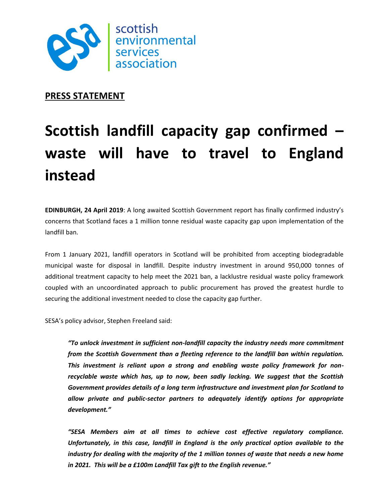

**PRESS STATEMENT**

## **Scottish landfill capacity gap confirmed – waste will have to travel to England instead**

**EDINBURGH, 24 April 2019**: A long awaited Scottish Government report has finally confirmed industry's concerns that Scotland faces a 1 million tonne residual waste capacity gap upon implementation of the landfill ban.

From 1 January 2021, landfill operators in Scotland will be prohibited from accepting biodegradable municipal waste for disposal in landfill. Despite industry investment in around 950,000 tonnes of additional treatment capacity to help meet the 2021 ban, a lacklustre residual waste policy framework coupled with an uncoordinated approach to public procurement has proved the greatest hurdle to securing the additional investment needed to close the capacity gap further.

SESA's policy advisor, Stephen Freeland said:

*"To unlock investment in sufficient non-landfill capacity the industry needs more commitment from the Scottish Government than a fleeting reference to the landfill ban within regulation. This investment is reliant upon a strong and enabling waste policy framework for nonrecyclable waste which has, up to now, been sadly lacking. We suggest that the Scottish Government provides details of a long term infrastructure and investment plan for Scotland to allow private and public-sector partners to adequately identify options for appropriate development."*

*"SESA Members aim at all times to achieve cost effective regulatory compliance. Unfortunately, in this case, landfill in England is the only practical option available to the industry for dealing with the majority of the 1 million tonnes of waste that needs a new home in 2021. This will be a £100m Landfill Tax gift to the English revenue."*